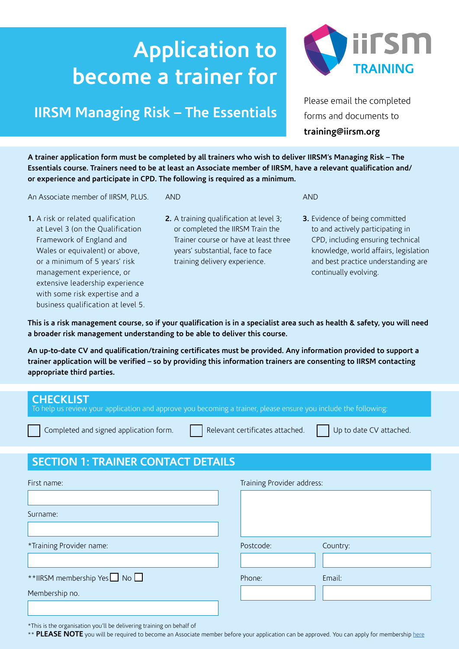# **Application to become a trainer for**

## **IIRSM Managing Risk – The Essentials**

Please email the completed forms and documents to **training[@iirsm.org](mailto:training@iirsm.org)** 

**A trainer application form must be completed by all trainers who wish to deliver IIRSM's Managing Risk – The Essentials course. Trainers need to be at least an Associate member of IIRSM, have a relevant qualification and/ or experience and participate in CPD. The following is required as a minimum.** 

An Associate member of IIRSM, PLUS.

- AND
- **1.** A risk or related qualification at Level 3 (on the Qualification Framework of England and Wales or equivalent) or above, or a minimum of 5 years' risk management experience, or extensive leadership experience with some risk expertise and a business qualification at level 5.
- **2.** A training qualification at level 3; or completed the IIRSM Train the Trainer course or have at least three years' substantial, face to face training delivery experience.
- **3.** Evidence of being committed to and actively participating in CPD, including ensuring technical knowledge, world affairs, legislation and best practice understanding are continually evolving.

AND

**This is a risk management course, so if your qualification is in a specialist area such as health & safety, you will need a broader risk management understanding to be able to deliver this course.**

**An up-to-date CV and qualification/training certificates must be provided. Any information provided to support a trainer application will be verified – so by providing this information trainers are consenting to IIRSM contacting appropriate third parties.**

| <b>CHECKLIST</b><br>To help us review your application and approve you becoming a trainer, please ensure you include the following:<br>Relevant certificates attached.<br>Up to date CV attached.<br>Completed and signed application form. |          |  |  |
|---------------------------------------------------------------------------------------------------------------------------------------------------------------------------------------------------------------------------------------------|----------|--|--|
|                                                                                                                                                                                                                                             |          |  |  |
|                                                                                                                                                                                                                                             |          |  |  |
| Training Provider address:                                                                                                                                                                                                                  |          |  |  |
|                                                                                                                                                                                                                                             |          |  |  |
|                                                                                                                                                                                                                                             |          |  |  |
|                                                                                                                                                                                                                                             |          |  |  |
| Postcode:                                                                                                                                                                                                                                   | Country: |  |  |
|                                                                                                                                                                                                                                             |          |  |  |
| Phone:                                                                                                                                                                                                                                      | Email:   |  |  |
|                                                                                                                                                                                                                                             |          |  |  |
|                                                                                                                                                                                                                                             |          |  |  |
|                                                                                                                                                                                                                                             |          |  |  |

\*This is the organisation you'll be delivering training on behalf of

\*\* PLEASE NOTE you will be required to become an Associate member before your application can be approved. You can apply for membership [here](https://www.iirsm.org/apply-online)

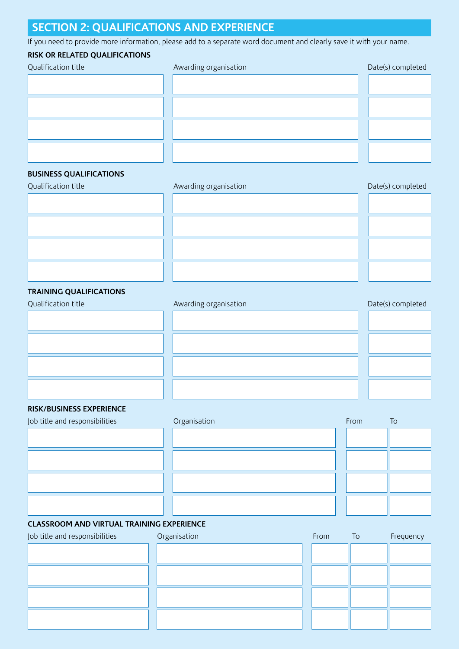### **SECTION 2: QUALIFICATIONS AND EXPERIENCE**

If you need to provide more information, please add to a separate word document and clearly save it with your name.

### **RISK OR RELATED QUALIFICATIONS**

| Qualification title | Awarding organisation | Date(s) completed |
|---------------------|-----------------------|-------------------|
|                     |                       |                   |
|                     |                       |                   |
|                     |                       |                   |
|                     |                       |                   |
|                     |                       |                   |
|                     |                       |                   |

### **BUSINESS QUALIFICATIONS**

Qualification title

| Awarding organisation | Date(s) completed |
|-----------------------|-------------------|
|                       |                   |
|                       |                   |
|                       |                   |
|                       |                   |

### **TRAINING QUALIFICATIONS**

# Qualification title **Awarding organisation** Date(s) completed

#### **RISK/BUSINESS EXPERIENCE**

| Job title and responsibilities | Organisation | From | To |
|--------------------------------|--------------|------|----|
|                                |              |      |    |
|                                |              |      |    |
|                                |              |      |    |
|                                |              |      |    |

### **CLASSROOM AND VIRTUAL TRAINING EXPERIENCE**

| Job title and responsibilities | Organisation | From | To | Frequency |
|--------------------------------|--------------|------|----|-----------|
|                                |              |      |    |           |
|                                |              |      |    |           |
|                                |              |      |    |           |
|                                |              |      |    |           |